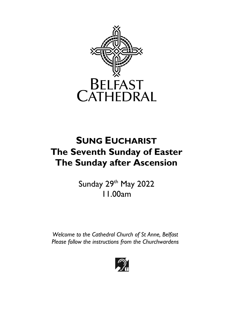

# **SUNG EUCHARIST The Seventh Sunday of Easter The Sunday after Ascension**

Sunday 29th May 2022 11.00am

*Welcome to the Cathedral Church of St Anne, Belfast Please follow the instructions from the Churchwardens*

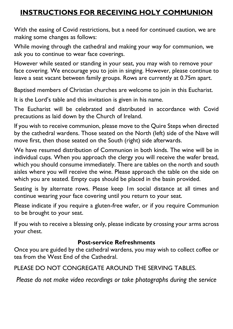# **INSTRUCTIONS FOR RECEIVING HOLY COMMUNION**

With the easing of Covid restrictions, but a need for continued caution, we are making some changes as follows:

While moving through the cathedral and making your way for communion, we ask you to continue to wear face coverings.

However while seated or standing in your seat, you may wish to remove your face covering. We encourage you to join in singing. However, please continue to leave a seat vacant between family groups. Rows are currently at 0.75m apart.

Baptised members of Christian churches are welcome to join in this Eucharist.

It is the Lord's table and this invitation is given in his name.

The Eucharist will be celebrated and distributed in accordance with Covid precautions as laid down by the Church of Ireland.

If you wish to receive communion, please move to the Quire Steps when directed by the cathedral wardens. Those seated on the North (left) side of the Nave will move first, then those seated on the South (right) side afterwards.

We have resumed distribution of Communion in both kinds. The wine will be in individual cups. When you approach the clergy you will receive the wafer bread, which you should consume immediately. There are tables on the north and south aisles where you will receive the wine. Please approach the table on the side on which you are seated. Empty cups should be placed in the basin provided.

Seating is by alternate rows. Please keep 1m social distance at all times and continue wearing your face covering until you return to your seat.

Please indicate if you require a gluten-free wafer, or if you require Communion to be brought to your seat.

If you wish to receive a blessing only, please indicate by crossing your arms across your chest.

## **Post-service Refreshments**

Once you are guided by the cathedral wardens, you may wish to collect coffee or tea from the West End of the Cathedral.

PLEASE DO NOT CONGREGATE AROUND THE SERVING TABLES.

*Please do not make video recordings or take photographs during the service*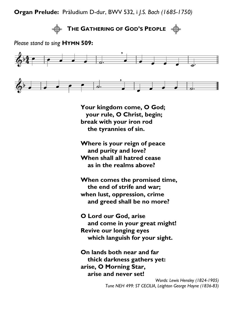**Organ Prelude:** Präludium D-dur, BWV 532, i *J.S. Bach (1685-1750)*

**THE GATHERING OF GOD'S PEOPLE**

*Please stand to sing* **HYMN 509:**



**Your kingdom come, O God; your rule, O Christ, begin; break with your iron rod the tyrannies of sin.**

**Where is your reign of peace and purity and love? When shall all hatred cease as in the realms above?**

**When comes the promised time, the end of strife and war; when lust, oppression, crime and greed shall be no more?**

**O Lord our God, arise and come in your great might! Revive our longing eyes which languish for your sight.**

**On lands both near and far thick darkness gathers yet: arise, O Morning Star, arise and never set!**

> *Words: Lewis Hensley (1824-1905) Tune NEH 499: ST CECILIA, Leighton George Hayne (1836-83)*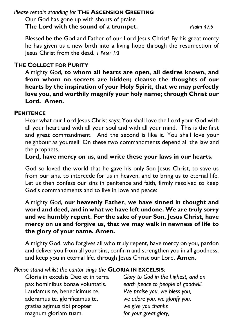#### *Please remain standing for* **THE ASCENSION GREETING**

Our God has gone up with shouts of praise **The Lord with the sound of a trumpet.** *Psalm 47:5*

Blessed be the God and Father of our Lord Jesus Christ! By his great mercy he has given us a new birth into a living hope through the resurrection of Jesus Christ from the dead. *1 Peter 1:3*

## **THE COLLECT FOR PURITY**

Almighty God, **to whom all hearts are open, all desires known, and from whom no secrets are hidden; cleanse the thoughts of our hearts by the inspiration of your Holy Spirit, that we may perfectly love you, and worthily magnify your holy name; through Christ our Lord. Amen.**

#### **PENITENCE**

Hear what our Lord Jesus Christ says: You shall love the Lord your God with all your heart and with all your soul and with all your mind. This is the first and great commandment. And the second is like it. You shall love your neighbour as yourself. On these two commandments depend all the law and the prophets.

#### **Lord, have mercy on us, and write these your laws in our hearts.**

God so loved the world that he gave his only Son Jesus Christ, to save us from our sins, to intercede for us in heaven, and to bring us to eternal life. Let us then confess our sins in penitence and faith, firmly resolved to keep God's commandments and to live in love and peace:

Almighty God, **our heavenly Father, we have sinned in thought and word and deed, and in what we have left undone. We are truly sorry and we humbly repent. For the sake of your Son, Jesus Christ, have mercy on us and forgive us, that we may walk in newness of life to the glory of your name. Amen.**

Almighty God, who forgives all who truly repent, have mercy on you, pardon and deliver you from all your sins, confirm and strengthen you in all goodness, and keep you in eternal life, through Jesus Christ our Lord. Amen.

#### *Please stand whilst the cantor sings the* **GLORIA IN EXCELSIS**:

Gloria in excelsis Deo et in terra pax hominibus bonae voluntatis. Laudamus te, benedicimus te, adoramus te, glorificamus te, gratias agimus tibi propter magnum gloriam tuam,

*Glory to God in the highest, and on earth peace to people of goodwill. We praise you, we bless you, we adore you, we glorify you, we give you thanks for your great glory,*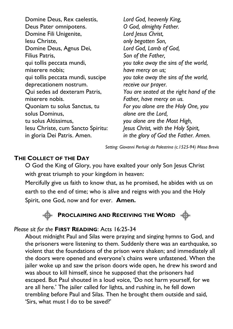Domine Deus, Rex caelestis, Deus Pater omnipotens. Domine Fili Unigenite, Iesu Christe, Domine Deus, Agnus Dei, Filius Patris, qui tollis peccata mundi, miserere nobis; qui tollis peccata mundi, suscipe deprecationem nostrum. Qui sedes ad dexteram Patris, miserere nobis. Quoniam tu solus Sanctus, tu solus Dominus, tu solus Altissimus, Iesu Christe, cum Sancto Spiritu: in gloria Dei Patris. Amen.

*Lord God, heavenly King, O God, almighty Father. Lord Jesus Christ, only begotten Son, Lord God, Lamb of God, Son of the Father, you take away the sins of the world, have mercy on us; you take away the sins of the world, receive our prayer. You are seated at the right hand of the Father, have mercy on us. For you alone are the Holy One, you alone are the Lord, you alone are the Most High, Jesus Christ, with the Holy Spirit, in the glory of God the Father. Amen.*

*Setting: Giovanni Pierluigi da Palestrina (c.1525-94) Missa Brevis*

#### **THE COLLECT OF THE DAY**

O God the King of Glory, you have exalted your only Son Jesus Christ with great triumph to your kingdom in heaven:

Mercifully give us faith to know that, as he promised, he abides with us on earth to the end of time; who is alive and reigns with you and the Holy Spirit, one God, now and for ever. **Amen.**



#### **PROCLAIMING AND RECEIVING THE WORD**

#### *Please sit for the* **FIRST READING**: Acts 16:25-34

About midnight Paul and Silas were praying and singing hymns to God, and the prisoners were listening to them. Suddenly there was an earthquake, so violent that the foundations of the prison were shaken; and immediately all the doors were opened and everyone's chains were unfastened. When the jailer woke up and saw the prison doors wide open, he drew his sword and was about to kill himself, since he supposed that the prisoners had escaped. But Paul shouted in a loud voice, 'Do not harm yourself, for we are all here.' The jailer called for lights, and rushing in, he fell down trembling before Paul and Silas. Then he brought them outside and said, 'Sirs, what must I do to be saved?'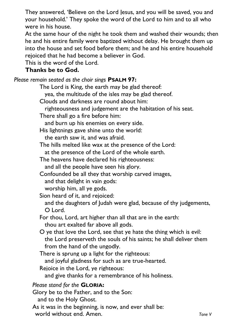They answered, 'Believe on the Lord Jesus, and you will be saved, you and your household.' They spoke the word of the Lord to him and to all who were in his house.

At the same hour of the night he took them and washed their wounds; then he and his entire family were baptized without delay. He brought them up into the house and set food before them; and he and his entire household rejoiced that he had become a believer in God.

This is the word of the Lord.

## **Thanks be to God.**

*Please remain seated as the choir sings* **PSALM 97:** The Lord is King, the earth may be glad thereof: yea, the multitude of the isles may be glad thereof. Clouds and darkness are round about him: righteousness and judgement are the habitation of his seat. There shall go a fire before him: and burn up his enemies on every side. His lightnings gave shine unto the world: the earth saw it, and was afraid. The hills melted like wax at the presence of the Lord: at the presence of the Lord of the whole earth. The heavens have declared his righteousness: and all the people have seen his glory. Confounded be all they that worship carved images, and that delight in vain gods: worship him, all ye gods. Sion heard of it, and rejoiced: and the daughters of Judah were glad, because of thy judgements, O Lord. For thou, Lord, art higher than all that are in the earth: thou art exalted far above all gods. O ye that love the Lord, see that ye hate the thing which is evil: the Lord preserveth the souls of his saints; he shall deliver them from the hand of the ungodly. There is sprung up a light for the righteous: and joyful gladness for such as are true-hearted. Rejoice in the Lord, ye righteous: and give thanks for a remembrance of his holiness. *Please stand for the* **GLORIA:** Glory be to the Father, and to the Son: and to the Holy Ghost. As it was in the beginning, is now, and ever shall be: world without end. Amen. *Tone V*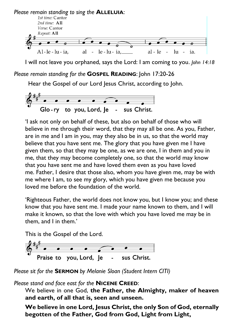

I will not leave you orphaned, says the Lord: I am coming to you. *John 14:18*

## *Please remain standing for the* **GOSPEL READING**: John 17:20-26

Hear the Gospel of our Lord Jesus Christ, according to John.



'I ask not only on behalf of these, but also on behalf of those who will believe in me through their word, that they may all be one. As you, Father, are in me and I am in you, may they also be in us, so that the world may believe that you have sent me. The glory that you have given me I have given them, so that they may be one, as we are one, I in them and you in me, that they may become completely one, so that the world may know that you have sent me and have loved them even as you have loved me. Father, I desire that those also, whom you have given me, may be with me where I am, to see my glory, which you have given me because you loved me before the foundation of the world.

'Righteous Father, the world does not know you, but I know you; and these know that you have sent me. I made your name known to them, and I will make it known, so that the love with which you have loved me may be in them, and I in them.'

This is the Gospel of the Lord.



*Please sit for the* **SERMON** *by Melanie Sloan (Student Intern CITI)*

*Please stand and face east for the* **NICENE CREED**:

We believe in one God, **the Father, the Almighty, maker of heaven and earth, of all that is, seen and unseen.**

**We believe in one Lord, Jesus Christ, the only Son of God, eternally begotten of the Father, God from God, Light from Light,**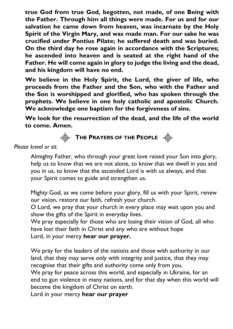**true God from true God, begotten, not made, of one Being with the Father. Through him all things were made. For us and for our salvation he came down from heaven, was incarnate by the Holy Spirit of the Virgin Mary, and was made man. For our sake he was crucified under Pontius Pilate; he suffered death and was buried. On the third day he rose again in accordance with the Scriptures; he ascended into heaven and is seated at the right hand of the Father. He will come again in glory to judge the living and the dead, and his kingdom will have no end.**

**We believe in the Holy Spirit, the Lord, the giver of life, who proceeds from the Father and the Son, who with the Father and the Son is worshipped and glorified, who has spoken through the prophets. We believe in one holy catholic and apostolic Church. We acknowledge one baptism for the forgiveness of sins.**

**We look for the resurrection of the dead, and the life of the world to come. Amen.**



**EXAMPLE PRAYERS OF THE PEOPLE** 

*Please kneel or sit:*

Almighty Father, who through your great love raised your Son into glory, help us to know that we are not alone, to know that we dwell in you and you in us, to know that the ascended Lord is with us always, and that your Spirit comes to guide and strengthen us.

Mighty God, as we come before your glory, fill us with your Spirit, renew our vision, restore our faith, refresh your church.

O Lord, we pray that your church in every place may wait upon you and show the gifts of the Spirit in everyday lives.

We pray especially for those who are losing their vision of God, all who have lost their faith in Christ and any who are without hope Lord, in your mercy **hear our prayer.**

We pray for the leaders of the nations and those with authority in our land, that they may serve only with integrity and justice, that they may recognise that their gifts and authority come only from you.

We pray for peace across this world, and especially in Ukraine, for an end to gun violence in many nations, and for that day when this world will become the kingdom of Christ on earth.

Lord in your mercy **hear our prayer**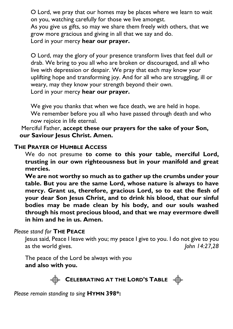O Lord, we pray that our homes may be places where we learn to wait on you, watching carefully for those we live amongst. As you give us gifts, so may we share them freely with others, that we grow more gracious and giving in all that we say and do. Lord in your mercy **hear our prayer.**

O Lord, may the glory of your presence transform lives that feel dull or drab. We bring to you all who are broken or discouraged, and all who live with depression or despair. We pray that each may know your uplifting hope and transforming joy. And for all who are struggling, ill or weary, may they know your strength beyond their own. Lord in your mercy **hear our prayer.**

We give you thanks that when we face death, we are held in hope. We remember before you all who have passed through death and who now rejoice in life eternal.

Merciful Father, **accept these our prayers for the sake of your Son, our Saviour Jesus Christ. Amen.**

#### **THE PRAYER OF HUMBLE ACCESS**

We do not presume **to come to this your table, merciful Lord, trusting in our own righteousness but in your manifold and great mercies.**

**We are not worthy so much as to gather up the crumbs under your table. But you are the same Lord, whose nature is always to have mercy. Grant us, therefore, gracious Lord, so to eat the flesh of your dear Son Jesus Christ, and to drink his blood, that our sinful bodies may be made clean by his body, and our souls washed through his most precious blood, and that we may evermore dwell in him and he in us. Amen.**

#### *Please stand for* **THE PEACE**

Jesus said, Peace I leave with you; my peace I give to you. I do not give to you as the world gives. *John 14:27,28* 

The peace of the Lord be always with you **and also with you.**

**CELEBRATING AT THE LORD'S TABLE**

*Please remain standing to sing* **HYMN 398\*:**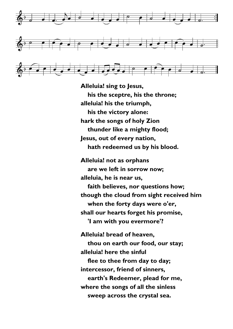





**Alleluia! sing to Jesus, his the sceptre, his the throne; alleluia! his the triumph, his the victory alone: hark the songs of holy Zion thunder like a mighty flood; Jesus, out of every nation, hath redeemed us by his blood. Alleluia! not as orphans are we left in sorrow now; alleluia, he is near us, faith believes, nor questions how; though the cloud from sight received him when the forty days were o'er, shall our hearts forget his promise, 'I am with you evermore'? Alleluia! bread of heaven, thou on earth our food, our stay; alleluia! here the sinful flee to thee from day to day;**

**intercessor, friend of sinners, earth's Redeemer, plead for me, where the songs of all the sinless sweep across the crystal sea.**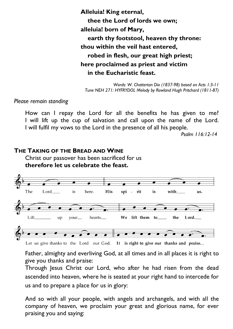**Alleluia! King eternal, thee the Lord of lords we own; alleluia! born of Mary, earth thy footstool, heaven thy throne: thou within the veil hast entered, robed in flesh, our great high priest; here proclaimed as priest and victim in the Eucharistic feast.**

*Words: W. Chatterton Dix (1837-98) based on Acts 1:3-11 Tune NEH 271: HYFRYDOL Melody by Rowland Hugh Pritchard (1811-87)*

*Please remain standing*

How can I repay the Lord for all the benefits he has given to me? I will lift up the cup of salvation and call upon the name of the Lord. I will fulfil my vows to the Lord in the presence of all his people.

*Psalm 116:12-14*

#### **THE TAKING OF THE BREAD AND WINE** Christ our passover has been sacrificed for us **therefore let us celebrate the feast.**



Let us give thanks to the Lord our God. It is right to give our thanks and praise.

Father, almighty and everliving God, at all times and in all places it is right to give you thanks and praise:

Through Jesus Christ our Lord, who after he had risen from the dead ascended into heaven, where he is seated at your right hand to intercede for us and to prepare a place for us in glory:

And so with all your people, with angels and archangels, and with all the company of heaven, we proclaim your great and glorious name, for ever praising you and saying: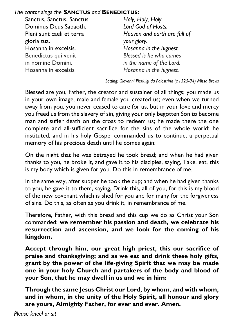### *The cantor sings the* **SANCTUS** *and* **BENEDICTUS:**

| Sanctus, Sanctus, Sanctus | Holy, Holy, Holy             |
|---------------------------|------------------------------|
| Dominus Deus Sabaoth.     | Lord God of Hosts.           |
| Pleni sunt caeli et terra | Heaven and earth are full of |
| gloria tua.               | your glory.                  |
| Hosanna in excelsis.      | Hosanna in the highest.      |
| Benedictus qui venit      | Blessed is he who comes      |
| in nomine Domini.         | in the name of the Lord.     |
| Hosanna in excelsis       | Hosanna in the highest.      |
|                           |                              |

*Setting: Giovanni Pierluigi da Palestrina (c.1525-94) Missa Brevis*

Blessed are you, Father, the creator and sustainer of all things; you made us in your own image, male and female you created us; even when we turned away from you, you never ceased to care for us, but in your love and mercy you freed us from the slavery of sin, giving your only begotten Son to become man and suffer death on the cross to redeem us; he made there the one complete and all-sufficient sacrifice for the sins of the whole world: he instituted, and in his holy Gospel commanded us to continue, a perpetual memory of his precious death until he comes again:

On the night that he was betrayed he took bread; and when he had given thanks to you, he broke it, and gave it to his disciples, saying, Take, eat, this is my body which is given for you. Do this in remembrance of me.

In the same way, after supper he took the cup; and when he had given thanks to you, he gave it to them, saying, Drink this, all of you, for this is my blood of the new covenant which is shed for you and for many for the forgiveness of sins. Do this, as often as you drink it, in remembrance of me.

Therefore, Father, with this bread and this cup we do as Christ your Son commanded: **we remember his passion and death, we celebrate his resurrection and ascension, and we look for the coming of his kingdom.**

**Accept through him, our great high priest, this our sacrifice of praise and thanksgiving; and as we eat and drink these holy gifts, grant by the power of the life-giving Spirit that we may be made one in your holy Church and partakers of the body and blood of your Son, that he may dwell in us and we in him:**

**Through the same Jesus Christ our Lord, by whom, and with whom, and in whom, in the unity of the Holy Spirit, all honour and glory are yours, Almighty Father, for ever and ever. Amen.**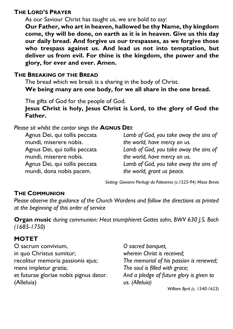## **THE LORD'S PRAYER**

As our Saviour Christ has taught us, we are bold to say:

**Our Father, who art in heaven, hallowed be thy Name, thy kingdom come, thy will be done, on earth as it is in heaven. Give us this day our daily bread. And forgive us our trespasses, as we forgive those who trespass against us. And lead us not into temptation, but deliver us from evil. For thine is the kingdom, the power and the glory, for ever and ever. Amen.**

#### **THE BREAKING OF THE BREAD**

The bread which we break is a sharing in the body of Christ. **We being many are one body, for we all share in the one bread.**

The gifts of God for the people of God.

**Jesus Christ is holy, Jesus Christ is Lord, to the glory of God the Father.**

#### *Please sit whilst the cantor sings the* **AGNUS DEI**:

| Agnus Dei, qui tollis peccata | Lamb of God, you take away the sins of |
|-------------------------------|----------------------------------------|
| mundi, miserere nobis.        | the world, have mercy on us.           |
| Agnus Dei, qui tollis peccata | Lamb of God, you take away the sins of |
| mundi, miserere nobis.        | the world, have mercy on us.           |
| Agnus Dei, qui tollis peccata | Lamb of God, you take away the sins of |
| mundi, dona nobis pacem.      | the world, grant us peace.             |

*Setting: Giovanni Pierluigi da Palestrina (c.1525-94) Missa Brevis*

## **THE COMMUNION**

*Please observe the guidance of the Church Wardens and follow the directions as printed at the beginning of this order of service*

**Organ music** *during communion: Heut triumphieret Gottes sohn, BWV 630 J.S. Bach (1685-1750)*

## **MOTET**

O sacrum convivium, in quo Christus sumitur; recolitur memoria passionis ejus; mens impletur gratia; et futurae gloriae nobis pignus dator. (Alleluia)

*O sacred banquet, wherein Christ is received; The memorial of his passion is renewed; The soul is filled with grace; And a pledge of future glory is given to us. (Alleluia)*

*William Byrd (c. 1540-1623)*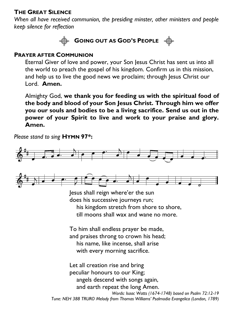## **THE GREAT SILENCE**

*When all have received communion, the presiding minster, other ministers and people keep silence for reflection*



 $\iff$  **GOING OUT AS GOD'S PEOPLE** 

## **PRAYER AFTER COMMUNION**

Eternal Giver of love and power, your Son Jesus Christ has sent us into all the world to preach the gospel of his kingdom. Confirm us in this mission, and help us to live the good news we proclaim; through Jesus Christ our Lord. **Amen.**

Almighty God, **we thank you for feeding us with the spiritual food of the body and blood of your Son Jesus Christ. Through him we offer you our souls and bodies to be a living sacrifice. Send us out in the power of your Spirit to live and work to your praise and glory. Amen.**

*Please stand to sing* **HYMN 97\*:**





Jesus shall reign where'er the sun does his successive journeys run; his kingdom stretch from shore to shore, till moons shall wax and wane no more.

To him shall endless prayer be made, and praises throng to crown his head; his name, like incense, shall arise with every morning sacrifice.

Let all creation rise and bring peculiar honours to our King; angels descend with songs again, and earth repeat the long Amen. *Words: Isaac Watts (1674-1748) based on Psalm 72:12-19 Tune: NEH 388 TRURO Melody from Thomas Williams' Psalmodia Evangelica (London, 1789)*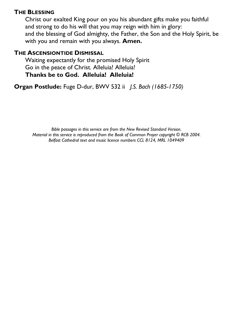## **THE BLESSING**

Christ our exalted King pour on you his abundant gifts make you faithful and strong to do his will that you may reign with him in glory: and the blessing of God almighty, the Father, the Son and the Holy Spirit, be with you and remain with you always. **Amen.**

## **THE ASCENSIONTIDE DISMISSAL**

Waiting expectantly for the promised Holy Spirit Go in the peace of Christ. Alleluia! Alleluia! **Thanks be to God. Alleluia! Alleluia!**

**Organ Postlude:** Fuge D-dur, BWV 532 ii *J.S. Bach (1685-1750)*

*Bible passages in this service are from the New Revised Standard Version. Material in this service is reproduced from the Book of Common Prayer copyright © RCB 2004. Belfast Cathedral text and music licence numbers CCL 8124, MRL 1049409*